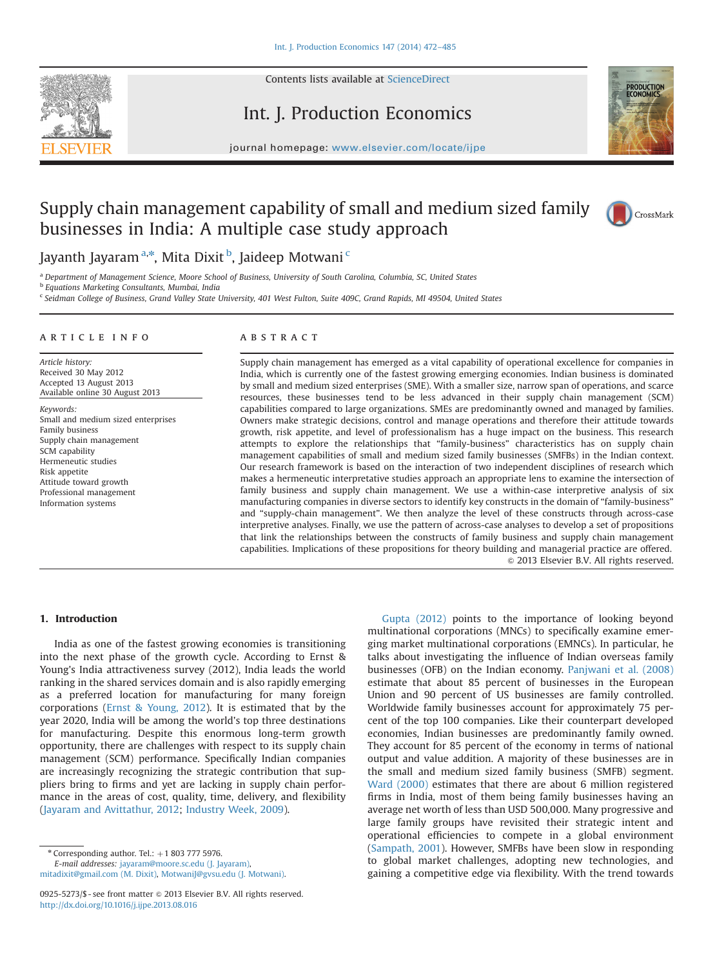Contents lists available at [ScienceDirect](www.sciencedirect.com/science/journal/09255273)







journal homepage: <www.elsevier.com/locate/ijpe>r.com/locate/ijper.com/locate/ijper.com/locate/ijper.com/locate/ijper.com/locate/ijper.com/locate/ijper.com/locate/ijper.com/locate/ijper.com/locate/ijper.com/locate/ijper.com

# Supply chain management capability of small and medium sized family businesses in India: A multiple case study approach



Jayanth Jayaram<sup>a, $\ast$ </sup>, Mita Dixit <sup>b</sup>, Jaideep Motwani <sup>c</sup>

<sup>a</sup> Department of Management Science, Moore School of Business, University of South Carolina, Columbia, SC, United States

**b Equations Marketing Consultants, Mumbai, India** 

<sup>c</sup> Seidman College of Business, Grand Valley State University, 401 West Fulton, Suite 409C, Grand Rapids, MI 49504, United States

#### article info

Article history: Received 30 May 2012 Accepted 13 August 2013 Available online 30 August 2013

Keywords: Small and medium sized enterprises Family business Supply chain management SCM capability Hermeneutic studies Risk appetite Attitude toward growth Professional management Information systems

### **ABSTRACT**

Supply chain management has emerged as a vital capability of operational excellence for companies in India, which is currently one of the fastest growing emerging economies. Indian business is dominated by small and medium sized enterprises (SME). With a smaller size, narrow span of operations, and scarce resources, these businesses tend to be less advanced in their supply chain management (SCM) capabilities compared to large organizations. SMEs are predominantly owned and managed by families. Owners make strategic decisions, control and manage operations and therefore their attitude towards growth, risk appetite, and level of professionalism has a huge impact on the business. This research attempts to explore the relationships that "family-business" characteristics has on supply chain management capabilities of small and medium sized family businesses (SMFBs) in the Indian context. Our research framework is based on the interaction of two independent disciplines of research which makes a hermeneutic interpretative studies approach an appropriate lens to examine the intersection of family business and supply chain management. We use a within-case interpretive analysis of six manufacturing companies in diverse sectors to identify key constructs in the domain of "family-business" and "supply-chain management". We then analyze the level of these constructs through across-case interpretive analyses. Finally, we use the pattern of across-case analyses to develop a set of propositions that link the relationships between the constructs of family business and supply chain management capabilities. Implications of these propositions for theory building and managerial practice are offered.  $\odot$  2013 Elsevier B.V. All rights reserved.

## 1. Introduction

India as one of the fastest growing economies is transitioning into the next phase of the growth cycle. According to Ernst & Young's India attractiveness survey (2012), India leads the world ranking in the shared services domain and is also rapidly emerging as a preferred location for manufacturing for many foreign corporations [\(Ernst](#page--1-0) & [Young, 2012\)](#page--1-0). It is estimated that by the year 2020, India will be among the world's top three destinations for manufacturing. Despite this enormous long-term growth opportunity, there are challenges with respect to its supply chain management (SCM) performance. Specifically Indian companies are increasingly recognizing the strategic contribution that suppliers bring to firms and yet are lacking in supply chain performance in the areas of cost, quality, time, delivery, and flexibility ([Jayaram and Avittathur, 2012](#page--1-0); [Industry Week, 2009\)](#page--1-0).

 $*$  Corresponding author. Tel.:  $+18037775976$ . E-mail addresses: [jayaram@moore.sc.edu \(J. Jayaram\),](mailto:jayaram@moore.sc.edu) [mitadixit@gmail.com \(M. Dixit\),](mailto:mitadixit@gmail.com) [MotwaniJ@gvsu.edu \(J. Motwani\)](mailto:MotwaniJ@gvsu.edu).

[Gupta \(2012\)](#page--1-0) points to the importance of looking beyond multinational corporations (MNCs) to specifically examine emerging market multinational corporations (EMNCs). In particular, he talks about investigating the influence of Indian overseas family businesses (OFB) on the Indian economy. [Panjwani et al. \(2008\)](#page--1-0) estimate that about 85 percent of businesses in the European Union and 90 percent of US businesses are family controlled. Worldwide family businesses account for approximately 75 percent of the top 100 companies. Like their counterpart developed economies, Indian businesses are predominantly family owned. They account for 85 percent of the economy in terms of national output and value addition. A majority of these businesses are in the small and medium sized family business (SMFB) segment. [Ward \(2000\)](#page--1-0) estimates that there are about 6 million registered firms in India, most of them being family businesses having an average net worth of less than USD 500,000. Many progressive and large family groups have revisited their strategic intent and operational efficiencies to compete in a global environment ([Sampath, 2001](#page--1-0)). However, SMFBs have been slow in responding to global market challenges, adopting new technologies, and gaining a competitive edge via flexibility. With the trend towards

<sup>0925-5273/\$ -</sup> see front matter  $\circ$  2013 Elsevier B.V. All rights reserved. <http://dx.doi.org/10.1016/j.ijpe.2013.08.016>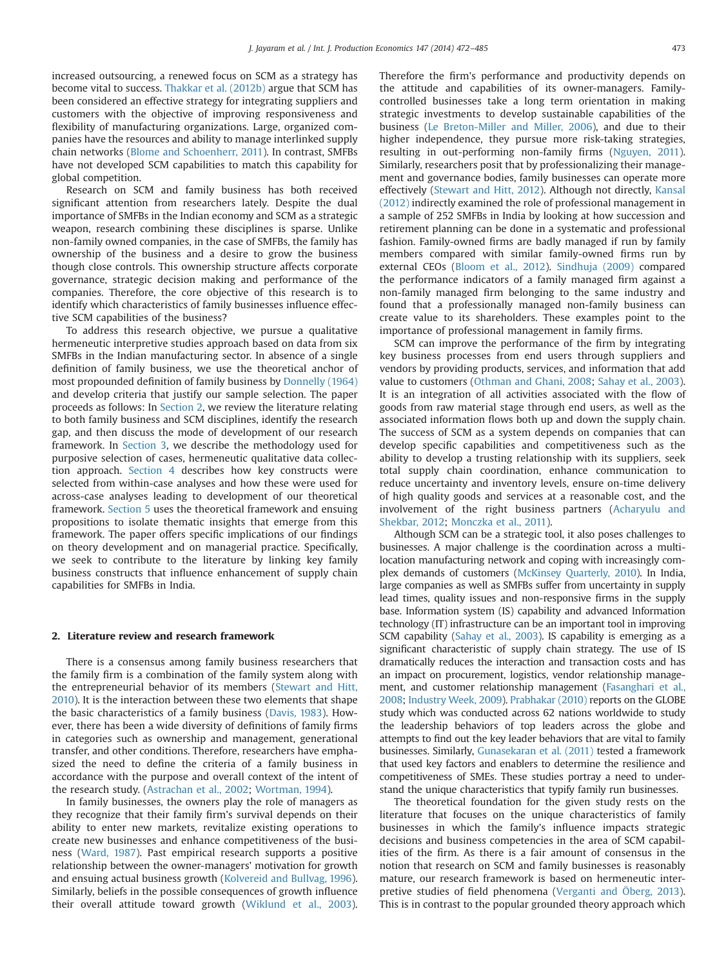increased outsourcing, a renewed focus on SCM as a strategy has become vital to success. [Thakkar et al. \(2012b\)](#page--1-0) argue that SCM has been considered an effective strategy for integrating suppliers and customers with the objective of improving responsiveness and flexibility of manufacturing organizations. Large, organized companies have the resources and ability to manage interlinked supply chain networks [\(Blome and Schoenherr, 2011\)](#page--1-0). In contrast, SMFBs have not developed SCM capabilities to match this capability for global competition.

Research on SCM and family business has both received significant attention from researchers lately. Despite the dual importance of SMFBs in the Indian economy and SCM as a strategic weapon, research combining these disciplines is sparse. Unlike non-family owned companies, in the case of SMFBs, the family has ownership of the business and a desire to grow the business though close controls. This ownership structure affects corporate governance, strategic decision making and performance of the companies. Therefore, the core objective of this research is to identify which characteristics of family businesses influence effective SCM capabilities of the business?

To address this research objective, we pursue a qualitative hermeneutic interpretive studies approach based on data from six SMFBs in the Indian manufacturing sector. In absence of a single definition of family business, we use the theoretical anchor of most propounded definition of family business by [Donnelly \(1964\)](#page--1-0) and develop criteria that justify our sample selection. The paper proceeds as follows: In Section 2, we review the literature relating to both family business and SCM disciplines, identify the research gap, and then discuss the mode of development of our research framework. In [Section 3,](#page--1-0) we describe the methodology used for purposive selection of cases, hermeneutic qualitative data collection approach. [Section 4](#page--1-0) describes how key constructs were selected from within-case analyses and how these were used for across-case analyses leading to development of our theoretical framework. [Section 5](#page--1-0) uses the theoretical framework and ensuing propositions to isolate thematic insights that emerge from this framework. The paper offers specific implications of our findings on theory development and on managerial practice. Specifically, we seek to contribute to the literature by linking key family business constructs that influence enhancement of supply chain capabilities for SMFBs in India.

#### 2. Literature review and research framework

There is a consensus among family business researchers that the family firm is a combination of the family system along with the entrepreneurial behavior of its members [\(Stewart and Hitt,](#page--1-0) [2010\)](#page--1-0). It is the interaction between these two elements that shape the basic characteristics of a family business ([Davis, 1983](#page--1-0)). However, there has been a wide diversity of definitions of family firms in categories such as ownership and management, generational transfer, and other conditions. Therefore, researchers have emphasized the need to define the criteria of a family business in accordance with the purpose and overall context of the intent of the research study. ([Astrachan et al., 2002;](#page--1-0) [Wortman, 1994](#page--1-0)).

In family businesses, the owners play the role of managers as they recognize that their family firm's survival depends on their ability to enter new markets, revitalize existing operations to create new businesses and enhance competitiveness of the business ([Ward, 1987\)](#page--1-0). Past empirical research supports a positive relationship between the owner-managers' motivation for growth and ensuing actual business growth [\(Kolvereid and Bullvag, 1996\)](#page--1-0). Similarly, beliefs in the possible consequences of growth influence their overall attitude toward growth ([Wiklund et al., 2003\)](#page--1-0).

Therefore the firm's performance and productivity depends on the attitude and capabilities of its owner-managers. Familycontrolled businesses take a long term orientation in making strategic investments to develop sustainable capabilities of the business [\(Le Breton-Miller and Miller, 2006](#page--1-0)), and due to their higher independence, they pursue more risk-taking strategies, resulting in out-performing non-family firms [\(Nguyen, 2011\)](#page--1-0). Similarly, researchers posit that by professionalizing their management and governance bodies, family businesses can operate more effectively [\(Stewart and Hitt, 2012](#page--1-0)). Although not directly, [Kansal](#page--1-0) [\(2012\)](#page--1-0) indirectly examined the role of professional management in a sample of 252 SMFBs in India by looking at how succession and retirement planning can be done in a systematic and professional fashion. Family-owned firms are badly managed if run by family members compared with similar family-owned firms run by external CEOs ([Bloom et al., 2012\)](#page--1-0). [Sindhuja \(2009\)](#page--1-0) compared the performance indicators of a family managed firm against a non-family managed firm belonging to the same industry and found that a professionally managed non-family business can create value to its shareholders. These examples point to the importance of professional management in family firms.

SCM can improve the performance of the firm by integrating key business processes from end users through suppliers and vendors by providing products, services, and information that add value to customers [\(Othman and Ghani, 2008](#page--1-0); [Sahay et al., 2003\)](#page--1-0). It is an integration of all activities associated with the flow of goods from raw material stage through end users, as well as the associated information flows both up and down the supply chain. The success of SCM as a system depends on companies that can develop specific capabilities and competitiveness such as the ability to develop a trusting relationship with its suppliers, seek total supply chain coordination, enhance communication to reduce uncertainty and inventory levels, ensure on-time delivery of high quality goods and services at a reasonable cost, and the involvement of the right business partners [\(Acharyulu and](#page--1-0) [Shekbar, 2012;](#page--1-0) [Monczka et al., 2011](#page--1-0)).

Although SCM can be a strategic tool, it also poses challenges to businesses. A major challenge is the coordination across a multilocation manufacturing network and coping with increasingly complex demands of customers ([McKinsey Quarterly, 2010](#page--1-0)). In India, large companies as well as SMFBs suffer from uncertainty in supply lead times, quality issues and non-responsive firms in the supply base. Information system (IS) capability and advanced Information technology (IT) infrastructure can be an important tool in improving SCM capability ([Sahay et al., 2003\)](#page--1-0). IS capability is emerging as a significant characteristic of supply chain strategy. The use of IS dramatically reduces the interaction and transaction costs and has an impact on procurement, logistics, vendor relationship management, and customer relationship management ([Fasanghari et al.,](#page--1-0) [2008](#page--1-0); [Industry Week, 2009\)](#page--1-0). [Prabhakar \(2010\)](#page--1-0) reports on the GLOBE study which was conducted across 62 nations worldwide to study the leadership behaviors of top leaders across the globe and attempts to find out the key leader behaviors that are vital to family businesses. Similarly, [Gunasekaran et al. \(2011\)](#page--1-0) tested a framework that used key factors and enablers to determine the resilience and competitiveness of SMEs. These studies portray a need to understand the unique characteristics that typify family run businesses.

The theoretical foundation for the given study rests on the literature that focuses on the unique characteristics of family businesses in which the family's influence impacts strategic decisions and business competencies in the area of SCM capabilities of the firm. As there is a fair amount of consensus in the notion that research on SCM and family businesses is reasonably mature, our research framework is based on hermeneutic interpretive studies of field phenomena ([Verganti and Öberg, 2013\)](#page--1-0). This is in contrast to the popular grounded theory approach which